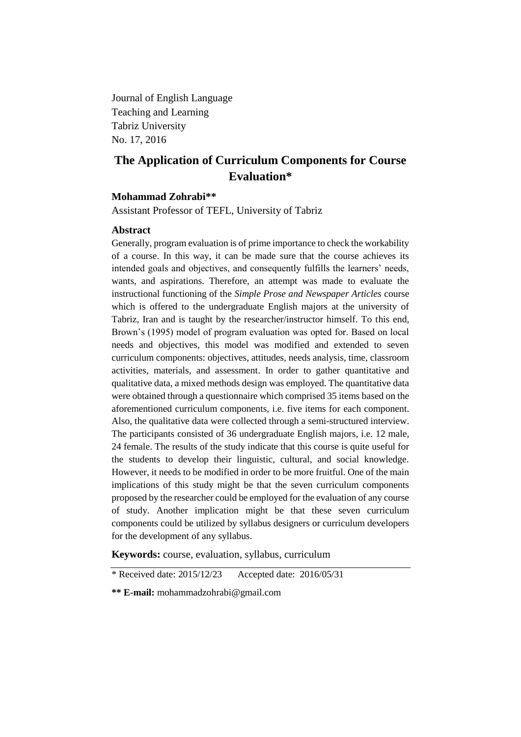Journal of English Language Teaching and Learning Tabriz University No. 17, 2016

# **The Application of Curriculum Components for Course Evaluation\***

# **Mohammad Zohrabi\*\***

Assistant Professor of TEFL, University of Tabriz

### **Abstract**

Generally, program evaluation is of prime importance to check the workability of a course. In this way, it can be made sure that the course achieves its intended goals and objectives, and consequently fulfills the learners' needs, wants, and aspirations. Therefore, an attempt was made to evaluate the instructional functioning of the *Simple Prose and Newspaper Articles* course which is offered to the undergraduate English majors at the university of Tabriz, Iran and is taught by the researcher/instructor himself. To this end, Brown's (1995) model of program evaluation was opted for. Based on local needs and objectives, this model was modified and extended to seven curriculum components: objectives, attitudes, needs analysis, time, classroom activities, materials, and assessment. In order to gather quantitative and qualitative data, a mixed methods design was employed. The quantitative data were obtained through a questionnaire which comprised 35 items based on the aforementioned curriculum components, i.e. five items for each component. Also, the qualitative data were collected through a semi-structured interview. The participants consisted of 36 undergraduate English majors, i.e. 12 male, 24 female. The results of the study indicate that this course is quite useful for the students to develop their linguistic, cultural, and social knowledge. However, it needs to be modified in order to be more fruitful. One of the main implications of this study might be that the seven curriculum components proposed by the researcher could be employed for the evaluation of any course of study. Another implication might be that these seven curriculum components could be utilized by syllabus designers or curriculum developers for the development of any syllabus.

**Keywords:** course, evaluation, syllabus, curriculum

<sup>\*</sup> Received date: 2015/12/23 Accepted date: 2016/05/31

**<sup>\*\*</sup> E-mail:** mohammadzohrabi@gmail.com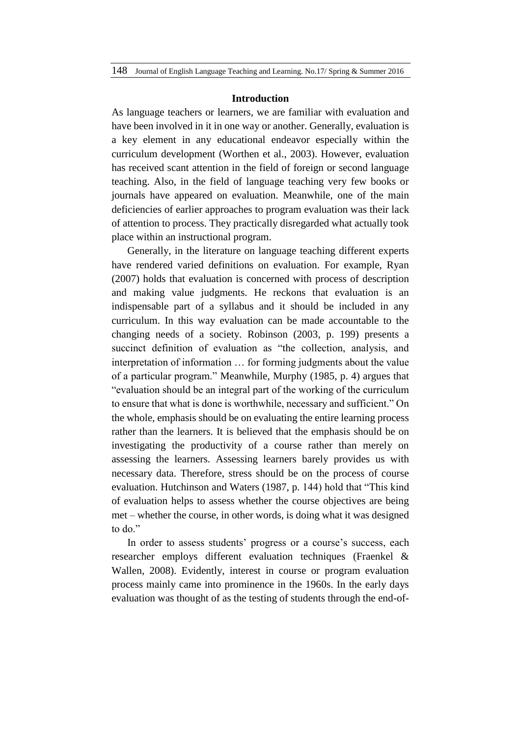#### **Introduction**

As language teachers or learners, we are familiar with evaluation and have been involved in it in one way or another. Generally, evaluation is a key element in any educational endeavor especially within the curriculum development (Worthen et al., 2003). However, evaluation has received scant attention in the field of foreign or second language teaching. Also, in the field of language teaching very few books or journals have appeared on evaluation. Meanwhile, one of the main deficiencies of earlier approaches to program evaluation was their lack of attention to process. They practically disregarded what actually took place within an instructional program.

Generally, in the literature on language teaching different experts have rendered varied definitions on evaluation. For example, Ryan (2007) holds that evaluation is concerned with process of description and making value judgments. He reckons that evaluation is an indispensable part of a syllabus and it should be included in any curriculum. In this way evaluation can be made accountable to the changing needs of a society. Robinson (2003, p. 199) presents a succinct definition of evaluation as "the collection, analysis, and interpretation of information … for forming judgments about the value of a particular program." Meanwhile, Murphy (1985, p. 4) argues that "evaluation should be an integral part of the working of the curriculum to ensure that what is done is worthwhile, necessary and sufficient." On the whole, emphasis should be on evaluating the entire learning process rather than the learners. It is believed that the emphasis should be on investigating the productivity of a course rather than merely on assessing the learners. Assessing learners barely provides us with necessary data. Therefore, stress should be on the process of course evaluation. Hutchinson and Waters (1987, p. 144) hold that "This kind of evaluation helps to assess whether the course objectives are being met – whether the course, in other words, is doing what it was designed to do."

In order to assess students' progress or a course's success, each researcher employs different evaluation techniques (Fraenkel & Wallen, 2008). Evidently, interest in course or program evaluation process mainly came into prominence in the 1960s. In the early days evaluation was thought of as the testing of students through the end-of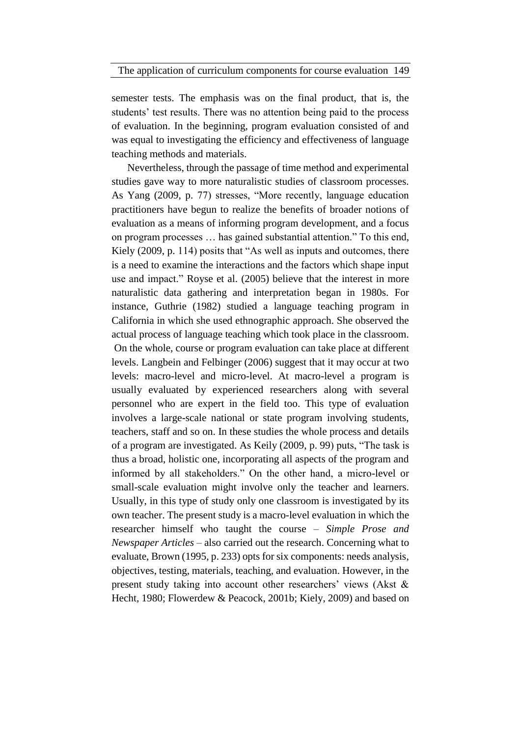semester tests. The emphasis was on the final product, that is, the students' test results. There was no attention being paid to the process of evaluation. In the beginning, program evaluation consisted of and was equal to investigating the efficiency and effectiveness of language teaching methods and materials.

Nevertheless, through the passage of time method and experimental studies gave way to more naturalistic studies of classroom processes. As Yang (2009, p. 77) stresses, "More recently, language education practitioners have begun to realize the benefits of broader notions of evaluation as a means of informing program development, and a focus on program processes … has gained substantial attention." To this end, Kiely (2009, p. 114) posits that "As well as inputs and outcomes, there is a need to examine the interactions and the factors which shape input use and impact." Royse et al. (2005) believe that the interest in more naturalistic data gathering and interpretation began in 1980s. For instance, Guthrie (1982) studied a language teaching program in California in which she used ethnographic approach. She observed the actual process of language teaching which took place in the classroom. On the whole, course or program evaluation can take place at different levels. Langbein and Felbinger (2006) suggest that it may occur at two levels: macro-level and micro-level. At macro-level a program is usually evaluated by experienced researchers along with several personnel who are expert in the field too. This type of evaluation involves a large-scale national or state program involving students, teachers, staff and so on. In these studies the whole process and details of a program are investigated. As Keily (2009, p. 99) puts, "The task is thus a broad, holistic one, incorporating all aspects of the program and informed by all stakeholders." On the other hand, a micro-level or small-scale evaluation might involve only the teacher and learners. Usually, in this type of study only one classroom is investigated by its own teacher. The present study is a macro-level evaluation in which the researcher himself who taught the course – *Simple Prose and Newspaper Articles* – also carried out the research. Concerning what to evaluate, Brown (1995, p. 233) opts for six components: needs analysis, objectives, testing, materials, teaching, and evaluation. However, in the present study taking into account other researchers' views (Akst & Hecht, 1980; Flowerdew & Peacock, 2001b; Kiely, 2009) and based on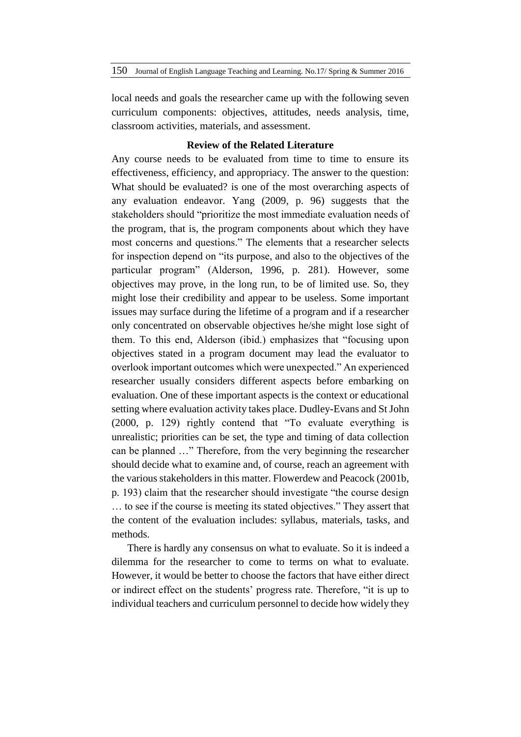local needs and goals the researcher came up with the following seven curriculum components: objectives, attitudes, needs analysis, time, classroom activities, materials, and assessment.

### **Review of the Related Literature**

Any course needs to be evaluated from time to time to ensure its effectiveness, efficiency, and appropriacy. The answer to the question: What should be evaluated? is one of the most overarching aspects of any evaluation endeavor. Yang (2009, p. 96) suggests that the stakeholders should "prioritize the most immediate evaluation needs of the program, that is, the program components about which they have most concerns and questions." The elements that a researcher selects for inspection depend on "its purpose, and also to the objectives of the particular program" (Alderson, 1996, p. 281). However, some objectives may prove, in the long run, to be of limited use. So, they might lose their credibility and appear to be useless. Some important issues may surface during the lifetime of a program and if a researcher only concentrated on observable objectives he/she might lose sight of them. To this end, Alderson (ibid.) emphasizes that "focusing upon objectives stated in a program document may lead the evaluator to overlook important outcomes which were unexpected." An experienced researcher usually considers different aspects before embarking on evaluation. One of these important aspects is the context or educational setting where evaluation activity takes place. Dudley-Evans and St John (2000, p. 129) rightly contend that "To evaluate everything is unrealistic; priorities can be set, the type and timing of data collection can be planned …" Therefore, from the very beginning the researcher should decide what to examine and, of course, reach an agreement with the various stakeholders in this matter. Flowerdew and Peacock (2001b, p. 193) claim that the researcher should investigate "the course design … to see if the course is meeting its stated objectives." They assert that the content of the evaluation includes: syllabus, materials, tasks, and methods.

There is hardly any consensus on what to evaluate. So it is indeed a dilemma for the researcher to come to terms on what to evaluate. However, it would be better to choose the factors that have either direct or indirect effect on the students' progress rate. Therefore, "it is up to individual teachers and curriculum personnel to decide how widely they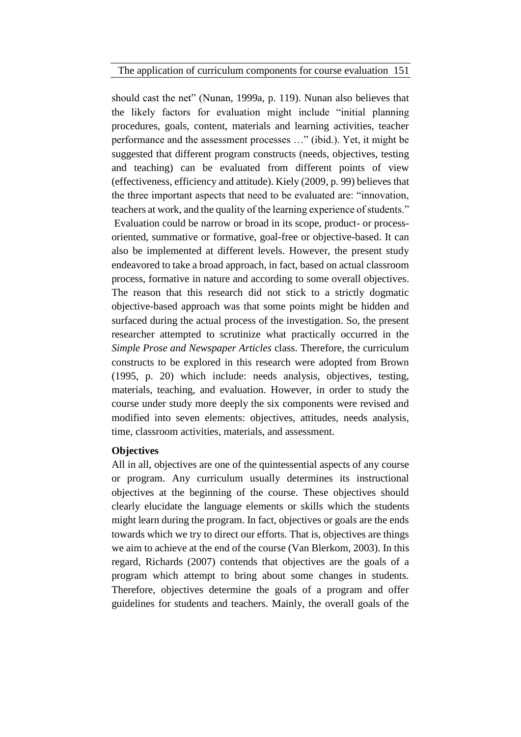The application of curriculum components for course evaluation 151

should cast the net" (Nunan, 1999a, p. 119). Nunan also believes that the likely factors for evaluation might include "initial planning procedures, goals, content, materials and learning activities, teacher performance and the assessment processes …" (ibid.). Yet, it might be suggested that different program constructs (needs, objectives, testing and teaching) can be evaluated from different points of view (effectiveness, efficiency and attitude). Kiely (2009, p. 99) believes that the three important aspects that need to be evaluated are: "innovation, teachers at work, and the quality of the learning experience of students." Evaluation could be narrow or broad in its scope, product- or processoriented, summative or formative, goal-free or objective-based. It can also be implemented at different levels. However, the present study endeavored to take a broad approach, in fact, based on actual classroom process, formative in nature and according to some overall objectives. The reason that this research did not stick to a strictly dogmatic objective-based approach was that some points might be hidden and surfaced during the actual process of the investigation. So, the present researcher attempted to scrutinize what practically occurred in the *Simple Prose and Newspaper Articles* class. Therefore, the curriculum constructs to be explored in this research were adopted from Brown (1995, p. 20) which include: needs analysis, objectives, testing, materials, teaching, and evaluation. However, in order to study the course under study more deeply the six components were revised and modified into seven elements: objectives, attitudes, needs analysis, time, classroom activities, materials, and assessment.

### **Objectives**

All in all, objectives are one of the quintessential aspects of any course or program. Any curriculum usually determines its instructional objectives at the beginning of the course. These objectives should clearly elucidate the language elements or skills which the students might learn during the program. In fact, objectives or goals are the ends towards which we try to direct our efforts. That is, objectives are things we aim to achieve at the end of the course (Van Blerkom, 2003). In this regard, Richards (2007) contends that objectives are the goals of a program which attempt to bring about some changes in students. Therefore, objectives determine the goals of a program and offer guidelines for students and teachers. Mainly, the overall goals of the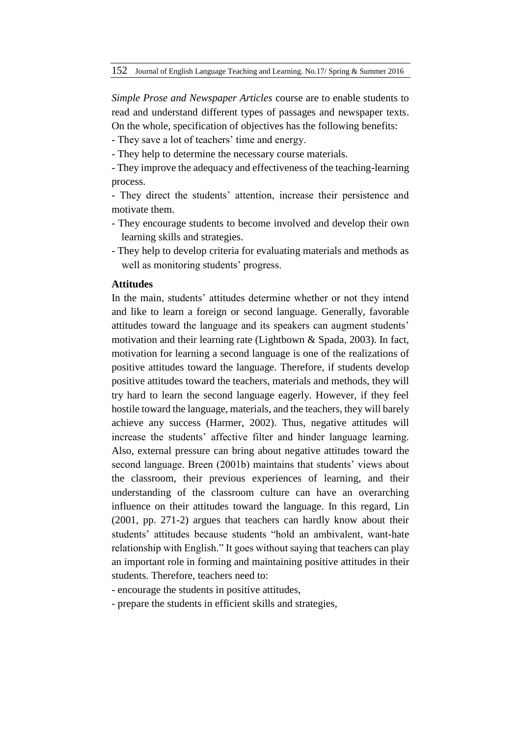*Simple Prose and Newspaper Articles* course are to enable students to read and understand different types of passages and newspaper texts. On the whole, specification of objectives has the following benefits:

- They save a lot of teachers' time and energy.

- They help to determine the necessary course materials.

- They improve the adequacy and effectiveness of the teaching-learning process.
- They direct the students' attention, increase their persistence and motivate them.
- They encourage students to become involved and develop their own learning skills and strategies.
- They help to develop criteria for evaluating materials and methods as well as monitoring students' progress.

# **Attitudes**

In the main, students' attitudes determine whether or not they intend and like to learn a foreign or second language. Generally, favorable attitudes toward the language and its speakers can augment students' motivation and their learning rate (Lightbown & Spada, 2003). In fact, motivation for learning a second language is one of the realizations of positive attitudes toward the language. Therefore, if students develop positive attitudes toward the teachers, materials and methods, they will try hard to learn the second language eagerly. However, if they feel hostile toward the language, materials, and the teachers, they will barely achieve any success (Harmer, 2002). Thus, negative attitudes will increase the students' affective filter and hinder language learning. Also, external pressure can bring about negative attitudes toward the second language. Breen (2001b) maintains that students' views about the classroom, their previous experiences of learning, and their understanding of the classroom culture can have an overarching influence on their attitudes toward the language. In this regard, Lin (2001, pp. 271-2) argues that teachers can hardly know about their students' attitudes because students "hold an ambivalent, want-hate relationship with English." It goes without saying that teachers can play an important role in forming and maintaining positive attitudes in their students. Therefore, teachers need to:

- encourage the students in positive attitudes,

- prepare the students in efficient skills and strategies,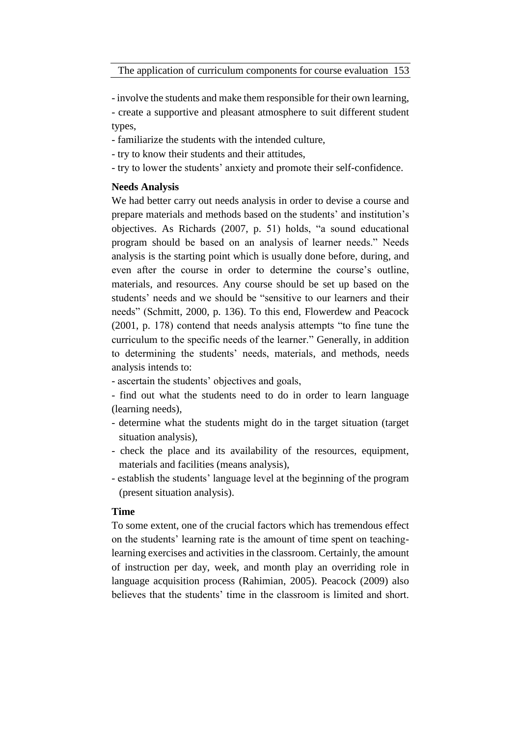- involve the students and make them responsible for their own learning,

- create a supportive and pleasant atmosphere to suit different student types,

- familiarize the students with the intended culture,
- try to know their students and their attitudes,
- try to lower the students' anxiety and promote their self-confidence.

## **Needs Analysis**

We had better carry out needs analysis in order to devise a course and prepare materials and methods based on the students' and institution's objectives. As Richards (2007, p. 51) holds, "a sound educational program should be based on an analysis of learner needs." Needs analysis is the starting point which is usually done before, during, and even after the course in order to determine the course's outline, materials, and resources. Any course should be set up based on the students' needs and we should be "sensitive to our learners and their needs" (Schmitt, 2000, p. 136). To this end, Flowerdew and Peacock (2001, p. 178) contend that needs analysis attempts "to fine tune the curriculum to the specific needs of the learner." Generally, in addition to determining the students' needs, materials, and methods, needs analysis intends to:

- ascertain the students' objectives and goals,

- find out what the students need to do in order to learn language (learning needs),
- determine what the students might do in the target situation (target situation analysis),
- check the place and its availability of the resources, equipment, materials and facilities (means analysis),
- establish the students' language level at the beginning of the program (present situation analysis).

# **Time**

To some extent, one of the crucial factors which has tremendous effect on the students' learning rate is the amount of time spent on teachinglearning exercises and activities in the classroom. Certainly, the amount of instruction per day, week, and month play an overriding role in language acquisition process (Rahimian, 2005). Peacock (2009) also believes that the students' time in the classroom is limited and short.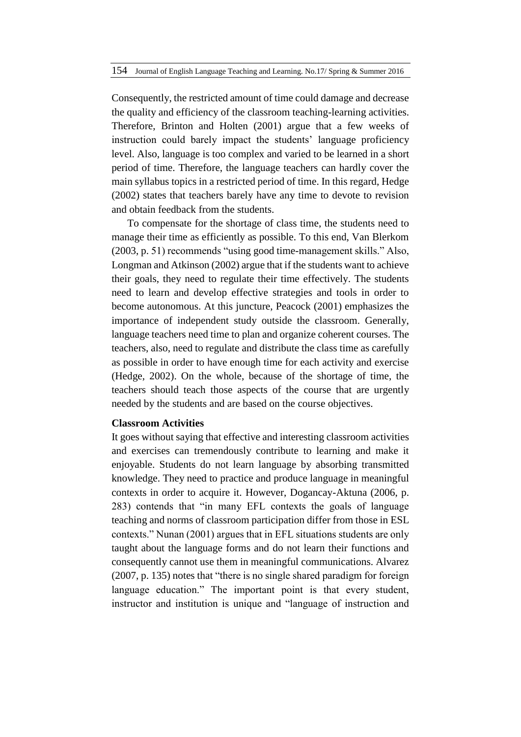Consequently, the restricted amount of time could damage and decrease the quality and efficiency of the classroom teaching-learning activities. Therefore, Brinton and Holten (2001) argue that a few weeks of instruction could barely impact the students' language proficiency level. Also, language is too complex and varied to be learned in a short period of time. Therefore, the language teachers can hardly cover the main syllabus topics in a restricted period of time. In this regard, Hedge (2002) states that teachers barely have any time to devote to revision and obtain feedback from the students.

To compensate for the shortage of class time, the students need to manage their time as efficiently as possible. To this end, Van Blerkom (2003, p. 51) recommends "using good time-management skills." Also, Longman and Atkinson (2002) argue that if the students want to achieve their goals, they need to regulate their time effectively. The students need to learn and develop effective strategies and tools in order to become autonomous. At this juncture, Peacock (2001) emphasizes the importance of independent study outside the classroom. Generally, language teachers need time to plan and organize coherent courses. The teachers, also, need to regulate and distribute the class time as carefully as possible in order to have enough time for each activity and exercise (Hedge, 2002). On the whole, because of the shortage of time, the teachers should teach those aspects of the course that are urgently needed by the students and are based on the course objectives.

### **Classroom Activities**

It goes without saying that effective and interesting classroom activities and exercises can tremendously contribute to learning and make it enjoyable. Students do not learn language by absorbing transmitted knowledge. They need to practice and produce language in meaningful contexts in order to acquire it. However, Dogancay-Aktuna (2006, p. 283) contends that "in many EFL contexts the goals of language teaching and norms of classroom participation differ from those in ESL contexts." Nunan (2001) argues that in EFL situations students are only taught about the language forms and do not learn their functions and consequently cannot use them in meaningful communications. Alvarez (2007, p. 135) notes that "there is no single shared paradigm for foreign language education." The important point is that every student, instructor and institution is unique and "language of instruction and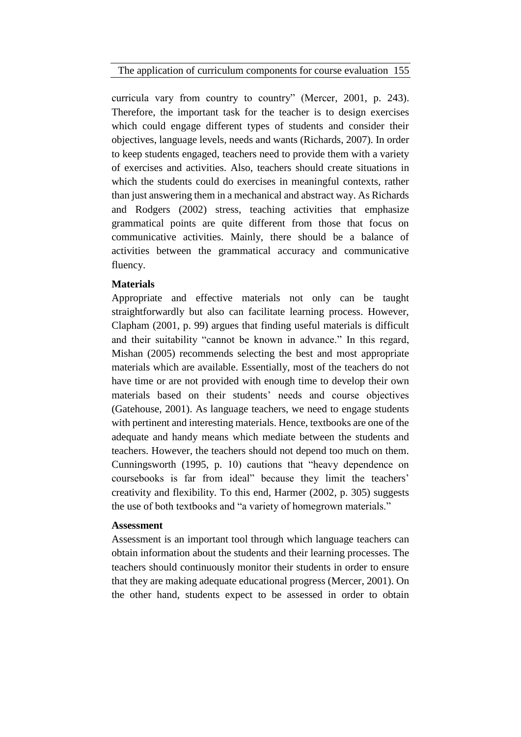The application of curriculum components for course evaluation 155

curricula vary from country to country" (Mercer, 2001, p. 243). Therefore, the important task for the teacher is to design exercises which could engage different types of students and consider their objectives, language levels, needs and wants (Richards, 2007). In order to keep students engaged, teachers need to provide them with a variety of exercises and activities. Also, teachers should create situations in which the students could do exercises in meaningful contexts, rather than just answering them in a mechanical and abstract way. As Richards and Rodgers (2002) stress, teaching activities that emphasize grammatical points are quite different from those that focus on communicative activities. Mainly, there should be a balance of activities between the grammatical accuracy and communicative fluency.

# **Materials**

Appropriate and effective materials not only can be taught straightforwardly but also can facilitate learning process. However, Clapham (2001, p. 99) argues that finding useful materials is difficult and their suitability "cannot be known in advance." In this regard, Mishan (2005) recommends selecting the best and most appropriate materials which are available. Essentially, most of the teachers do not have time or are not provided with enough time to develop their own materials based on their students' needs and course objectives (Gatehouse, 2001). As language teachers, we need to engage students with pertinent and interesting materials. Hence, textbooks are one of the adequate and handy means which mediate between the students and teachers. However, the teachers should not depend too much on them. Cunningsworth (1995, p. 10) cautions that "heavy dependence on coursebooks is far from ideal" because they limit the teachers' creativity and flexibility. To this end, Harmer (2002, p. 305) suggests the use of both textbooks and "a variety of homegrown materials."

# **Assessment**

Assessment is an important tool through which language teachers can obtain information about the students and their learning processes. The teachers should continuously monitor their students in order to ensure that they are making adequate educational progress (Mercer, 2001). On the other hand, students expect to be assessed in order to obtain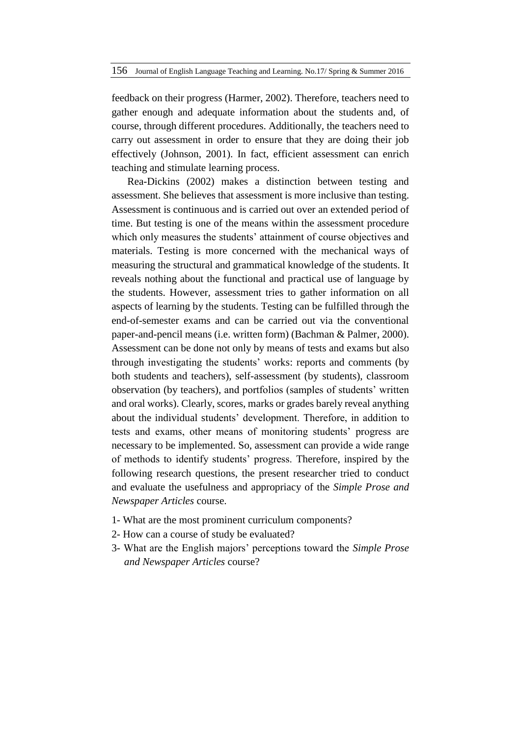feedback on their progress (Harmer, 2002). Therefore, teachers need to gather enough and adequate information about the students and, of course, through different procedures. Additionally, the teachers need to carry out assessment in order to ensure that they are doing their job effectively (Johnson, 2001). In fact, efficient assessment can enrich teaching and stimulate learning process.

Rea-Dickins (2002) makes a distinction between testing and assessment. She believes that assessment is more inclusive than testing. Assessment is continuous and is carried out over an extended period of time. But testing is one of the means within the assessment procedure which only measures the students' attainment of course objectives and materials. Testing is more concerned with the mechanical ways of measuring the structural and grammatical knowledge of the students. It reveals nothing about the functional and practical use of language by the students. However, assessment tries to gather information on all aspects of learning by the students. Testing can be fulfilled through the end-of-semester exams and can be carried out via the conventional paper-and-pencil means (i.e. written form) (Bachman & Palmer, 2000). Assessment can be done not only by means of tests and exams but also through investigating the students' works: reports and comments (by both students and teachers), self-assessment (by students), classroom observation (by teachers), and portfolios (samples of students' written and oral works). Clearly, scores, marks or grades barely reveal anything about the individual students' development. Therefore, in addition to tests and exams, other means of monitoring students' progress are necessary to be implemented. So, assessment can provide a wide range of methods to identify students' progress. Therefore, inspired by the following research questions, the present researcher tried to conduct and evaluate the usefulness and appropriacy of the *Simple Prose and Newspaper Articles* course.

- 1- What are the most prominent curriculum components?
- 2- How can a course of study be evaluated?
- 3- What are the English majors' perceptions toward the *Simple Prose and Newspaper Articles* course?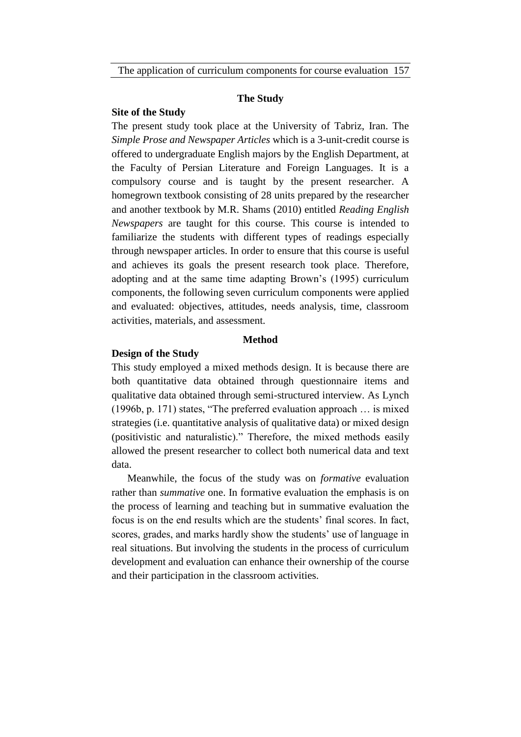### **The Study**

### **Site of the Study**

The present study took place at the University of Tabriz, Iran. The *Simple Prose and Newspaper Articles* which is a 3-unit-credit course is offered to undergraduate English majors by the English Department, at the Faculty of Persian Literature and Foreign Languages. It is a compulsory course and is taught by the present researcher. A homegrown textbook consisting of 28 units prepared by the researcher and another textbook by M.R. Shams (2010) entitled *Reading English Newspapers* are taught for this course. This course is intended to familiarize the students with different types of readings especially through newspaper articles. In order to ensure that this course is useful and achieves its goals the present research took place. Therefore, adopting and at the same time adapting Brown's (1995) curriculum components, the following seven curriculum components were applied and evaluated: objectives, attitudes, needs analysis, time, classroom activities, materials, and assessment.

# **Method**

#### **Design of the Study**

This study employed a mixed methods design. It is because there are both quantitative data obtained through questionnaire items and qualitative data obtained through semi-structured interview. As Lynch (1996b, p. 171) states, "The preferred evaluation approach … is mixed strategies (i.e. quantitative analysis of qualitative data) or mixed design (positivistic and naturalistic)." Therefore, the mixed methods easily allowed the present researcher to collect both numerical data and text data.

Meanwhile, the focus of the study was on *formative* evaluation rather than *summative* one. In formative evaluation the emphasis is on the process of learning and teaching but in summative evaluation the focus is on the end results which are the students' final scores. In fact, scores, grades, and marks hardly show the students' use of language in real situations. But involving the students in the process of curriculum development and evaluation can enhance their ownership of the course and their participation in the classroom activities.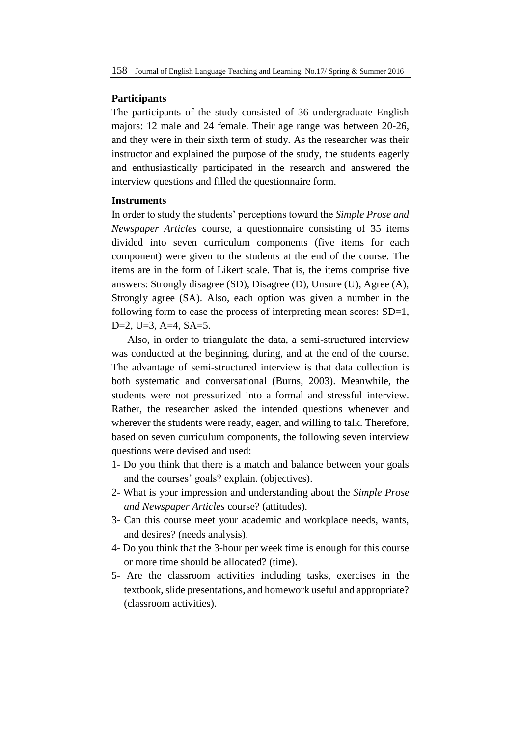#### **Participants**

The participants of the study consisted of 36 undergraduate English majors: 12 male and 24 female. Their age range was between 20-26, and they were in their sixth term of study. As the researcher was their instructor and explained the purpose of the study, the students eagerly and enthusiastically participated in the research and answered the interview questions and filled the questionnaire form.

#### **Instruments**

In order to study the students' perceptions toward the *Simple Prose and Newspaper Articles* course, a questionnaire consisting of 35 items divided into seven curriculum components (five items for each component) were given to the students at the end of the course. The items are in the form of Likert scale. That is, the items comprise five answers: Strongly disagree (SD), Disagree (D), Unsure (U), Agree (A), Strongly agree (SA). Also, each option was given a number in the following form to ease the process of interpreting mean scores:  $SD=1$ , D=2, U=3, A=4, SA=5.

Also, in order to triangulate the data, a semi-structured interview was conducted at the beginning, during, and at the end of the course. The advantage of semi-structured interview is that data collection is both systematic and conversational (Burns, 2003). Meanwhile, the students were not pressurized into a formal and stressful interview. Rather, the researcher asked the intended questions whenever and wherever the students were ready, eager, and willing to talk. Therefore, based on seven curriculum components, the following seven interview questions were devised and used:

- 1- Do you think that there is a match and balance between your goals and the courses' goals? explain. (objectives).
- 2- What is your impression and understanding about the *Simple Prose and Newspaper Articles* course? (attitudes).
- 3- Can this course meet your academic and workplace needs, wants, and desires? (needs analysis).
- 4- Do you think that the 3-hour per week time is enough for this course or more time should be allocated? (time).
- 5- Are the classroom activities including tasks, exercises in the textbook, slide presentations, and homework useful and appropriate? (classroom activities).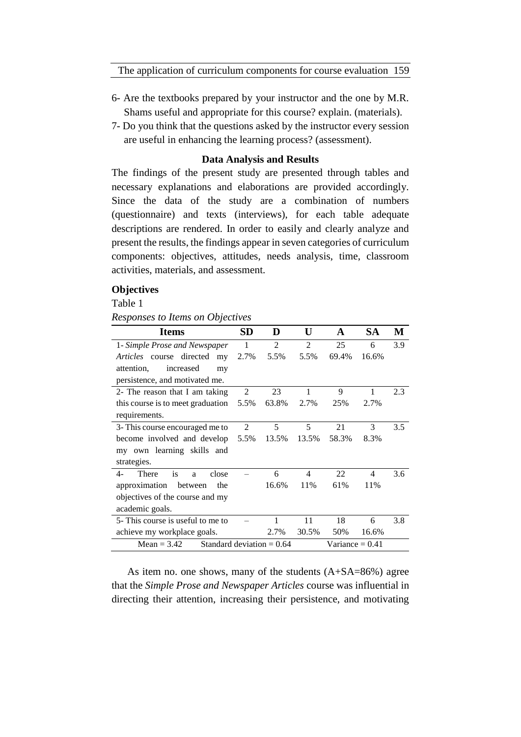- 6- Are the textbooks prepared by your instructor and the one by M.R. Shams useful and appropriate for this course? explain. (materials).
- 7- Do you think that the questions asked by the instructor every session are useful in enhancing the learning process? (assessment).

### **Data Analysis and Results**

The findings of the present study are presented through tables and necessary explanations and elaborations are provided accordingly. Since the data of the study are a combination of numbers (questionnaire) and texts (interviews), for each table adequate descriptions are rendered. In order to easily and clearly analyze and present the results, the findings appear in seven categories of curriculum components: objectives, attitudes, needs analysis, time, classroom activities, materials, and assessment.

### **Objectives**

Table 1

*Responses to Items on Objectives*

| <b>Items</b>                                                      | SD             | D              | U              | A     | SА             | М   |
|-------------------------------------------------------------------|----------------|----------------|----------------|-------|----------------|-----|
| 1- Simple Prose and Newspaper                                     | 1              | $\mathfrak{D}$ | $\mathfrak{D}$ | 25    | 6              | 3.9 |
| Articles course directed<br>my                                    | 2.7%           | 5.5%           | 5.5%           | 69.4% | 16.6%          |     |
| increased<br>attention,<br>my                                     |                |                |                |       |                |     |
| persistence, and motivated me.                                    |                |                |                |       |                |     |
| 2- The reason that I am taking                                    | $\overline{2}$ | 23             | 1              | 9     | 1              | 2.3 |
| this course is to meet graduation                                 | 5.5%           | 63.8%          | 2.7%           | 25%   | 2.7%           |     |
| requirements.                                                     |                |                |                |       |                |     |
| 3- This course encouraged me to                                   | 2              | 5              | 5              | 21    | 3              | 3.5 |
| become involved and develop                                       | 5.5%           | 13.5%          | 13.5%          | 58.3% | 8.3%           |     |
| my own learning skills and                                        |                |                |                |       |                |     |
| strategies.                                                       |                |                |                |       |                |     |
| There<br>is<br>$4-$<br>close<br>a                                 |                | 6              | 4              | 22    | $\overline{4}$ | 3.6 |
| approximation<br>between<br>the                                   |                | 16.6%          | 11%            | 61%   | 11%            |     |
| objectives of the course and my                                   |                |                |                |       |                |     |
| academic goals.                                                   |                |                |                |       |                |     |
| 5- This course is useful to me to                                 |                |                | 11             | 18    | 6              | 3.8 |
| achieve my workplace goals.                                       |                | 2.7%           | 30.5%          | 50%   | 16.6%          |     |
| Standard deviation $= 0.64$<br>Variance $= 0.41$<br>$Mean = 3.42$ |                |                |                |       |                |     |

As item no. one shows, many of the students (A+SA=86%) agree that the *Simple Prose and Newspaper Articles* course was influential in directing their attention, increasing their persistence, and motivating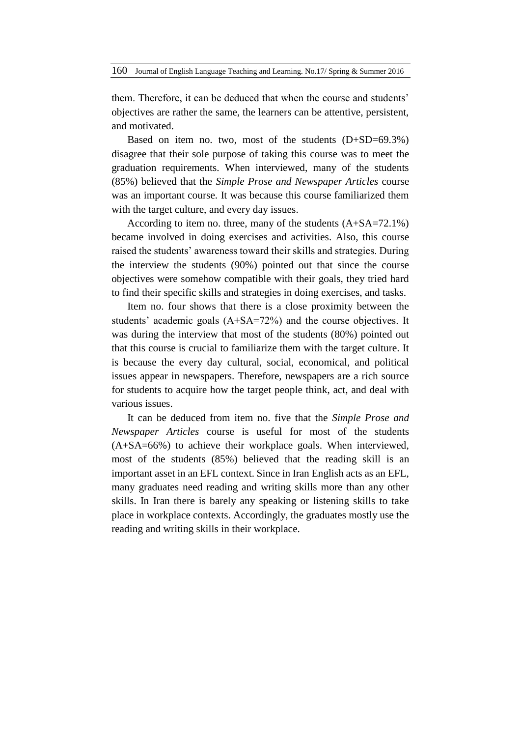them. Therefore, it can be deduced that when the course and students' objectives are rather the same, the learners can be attentive, persistent, and motivated.

Based on item no. two, most of the students (D+SD=69.3%) disagree that their sole purpose of taking this course was to meet the graduation requirements. When interviewed, many of the students (85%) believed that the *Simple Prose and Newspaper Articles* course was an important course. It was because this course familiarized them with the target culture, and every day issues.

According to item no. three, many of the students (A+SA=72.1%) became involved in doing exercises and activities. Also, this course raised the students' awareness toward their skills and strategies. During the interview the students (90%) pointed out that since the course objectives were somehow compatible with their goals, they tried hard to find their specific skills and strategies in doing exercises, and tasks.

Item no. four shows that there is a close proximity between the students' academic goals (A+SA=72%) and the course objectives. It was during the interview that most of the students (80%) pointed out that this course is crucial to familiarize them with the target culture. It is because the every day cultural, social, economical, and political issues appear in newspapers. Therefore, newspapers are a rich source for students to acquire how the target people think, act, and deal with various issues.

It can be deduced from item no. five that the *Simple Prose and Newspaper Articles* course is useful for most of the students (A+SA=66%) to achieve their workplace goals. When interviewed, most of the students (85%) believed that the reading skill is an important asset in an EFL context. Since in Iran English acts as an EFL, many graduates need reading and writing skills more than any other skills. In Iran there is barely any speaking or listening skills to take place in workplace contexts. Accordingly, the graduates mostly use the reading and writing skills in their workplace.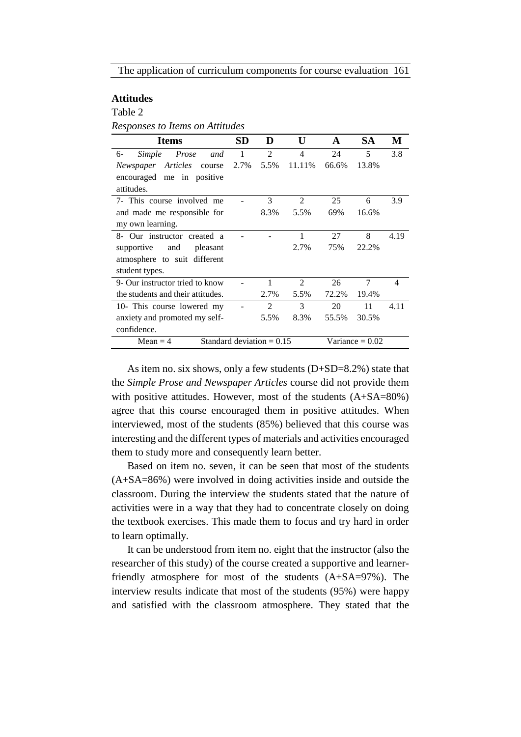# **Attitudes**

Table 2

*Responses to Items on Attitudes*

| <b>Items</b>                              | SD   | D              | U              | A     | SА                | М                        |
|-------------------------------------------|------|----------------|----------------|-------|-------------------|--------------------------|
| Prose<br>Simple<br>6-<br>and              | 1    | $\mathfrak{D}$ | $\overline{4}$ | 24    | 5                 | 3.8                      |
| Articles<br>Newspaper<br>course           | 2.7% | 5.5%           | 11.11%         | 66.6% | 13.8%             |                          |
| encouraged me in positive                 |      |                |                |       |                   |                          |
| attitudes.                                |      |                |                |       |                   |                          |
| 7- This course involved me                |      | 3              | 2              | 25    | 6                 | 3.9                      |
| and made me responsible for               |      | 8.3%           | 5.5%           | 69%   | 16.6%             |                          |
| my own learning.                          |      |                |                |       |                   |                          |
| 8- Our instructor created a               |      |                | 1              | 27    | 8                 | 4.19                     |
| supportive<br>and<br>pleasant             |      |                | 2.7%           | 75%   | 22.2%             |                          |
| atmosphere to suit different              |      |                |                |       |                   |                          |
| student types.                            |      |                |                |       |                   |                          |
| 9- Our instructor tried to know           |      | 1              | $\overline{2}$ | 26    | 7                 | $\overline{\mathcal{A}}$ |
| the students and their attitudes.         |      | 2.7%           | 5.5%           | 72.2% | 19.4%             |                          |
| 10- This course lowered my                |      | $\overline{2}$ | 3              | 20    | 11                | 4.11                     |
| anxiety and promoted my self-             |      | 5.5%           | 8.3%           | 55.5% | 30.5%             |                          |
| confidence.                               |      |                |                |       |                   |                          |
| Standard deviation $= 0.15$<br>Mean $=$ 4 |      |                |                |       | Variance $= 0.02$ |                          |

As item no. six shows, only a few students (D+SD=8.2%) state that the *Simple Prose and Newspaper Articles* course did not provide them with positive attitudes. However, most of the students  $(A+SA=80%)$ agree that this course encouraged them in positive attitudes. When interviewed, most of the students (85%) believed that this course was interesting and the different types of materials and activities encouraged them to study more and consequently learn better.

Based on item no. seven, it can be seen that most of the students (A+SA=86%) were involved in doing activities inside and outside the classroom. During the interview the students stated that the nature of activities were in a way that they had to concentrate closely on doing the textbook exercises. This made them to focus and try hard in order to learn optimally.

It can be understood from item no. eight that the instructor (also the researcher of this study) of the course created a supportive and learnerfriendly atmosphere for most of the students (A+SA=97%). The interview results indicate that most of the students (95%) were happy and satisfied with the classroom atmosphere. They stated that the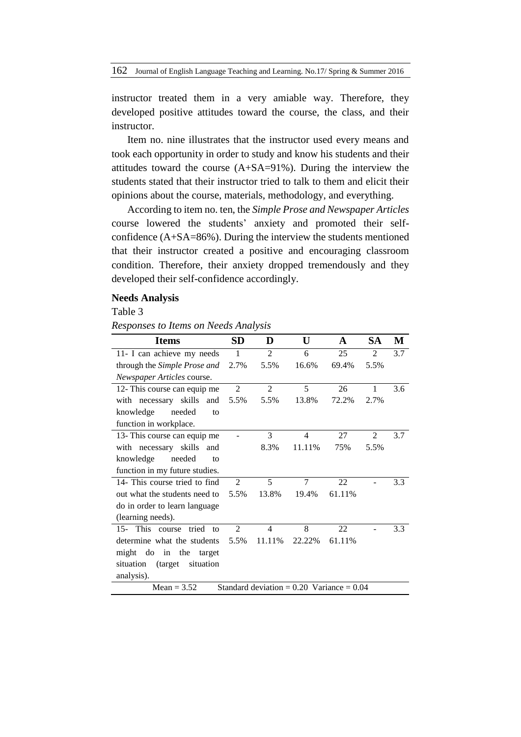instructor treated them in a very amiable way. Therefore, they developed positive attitudes toward the course, the class, and their instructor.

Item no. nine illustrates that the instructor used every means and took each opportunity in order to study and know his students and their attitudes toward the course (A+SA=91%). During the interview the students stated that their instructor tried to talk to them and elicit their opinions about the course, materials, methodology, and everything.

According to item no. ten, the *Simple Prose and Newspaper Articles*  course lowered the students' anxiety and promoted their selfconfidence (A+SA=86%). During the interview the students mentioned that their instructor created a positive and encouraging classroom condition. Therefore, their anxiety dropped tremendously and they developed their self-confidence accordingly.

### **Needs Analysis**

Table 3

*Responses to Items on Needs Analysis*

| <b>Items</b>                                                   | <b>SD</b>      | D              | U              | A      | <b>SA</b>      | М   |  |
|----------------------------------------------------------------|----------------|----------------|----------------|--------|----------------|-----|--|
| 11- I can achieve my needs                                     | $\mathbf{1}$   | $\overline{2}$ | 6              | 25     | $\mathfrak{D}$ | 3.7 |  |
| through the Simple Prose and                                   | 2.7%           | 5.5%           | 16.6%          | 69.4%  | 5.5%           |     |  |
| Newspaper Articles course.                                     |                |                |                |        |                |     |  |
| 12- This course can equip me                                   | $\overline{2}$ | $\overline{2}$ | 5              | 26     | 1              | 3.6 |  |
| with necessary skills<br>and                                   | 5.5%           | 5.5%           | 13.8%          | 72.2%  | 2.7%           |     |  |
| needed<br>knowledge<br>to                                      |                |                |                |        |                |     |  |
| function in workplace.                                         |                |                |                |        |                |     |  |
| 13- This course can equip me                                   |                | 3              | $\overline{4}$ | 27     | $\overline{2}$ | 3.7 |  |
| with necessary skills<br>and                                   |                | 8.3%           | 11.11%         | 75%    | 5.5%           |     |  |
| knowledge<br>needed<br>to                                      |                |                |                |        |                |     |  |
| function in my future studies.                                 |                |                |                |        |                |     |  |
| 14- This course tried to find                                  | 2              | 5              | 7              | 22     |                | 3.3 |  |
| out what the students need to                                  | 5.5%           | 13.8%          | 19.4%          | 61.11% |                |     |  |
| do in order to learn language                                  |                |                |                |        |                |     |  |
| (learning needs).                                              |                |                |                |        |                |     |  |
| 15- This course<br>tried to                                    | $\overline{2}$ | $\overline{4}$ | 8              | 22     |                | 3.3 |  |
| determine what the students                                    | 5.5%           | 11.11%         | 22.22%         | 61.11% |                |     |  |
| might do in<br>the<br>target                                   |                |                |                |        |                |     |  |
| situation<br>(target)<br>situation                             |                |                |                |        |                |     |  |
| analysis).                                                     |                |                |                |        |                |     |  |
| Standard deviation = $0.20$ Variance = $0.04$<br>Mean = $3.52$ |                |                |                |        |                |     |  |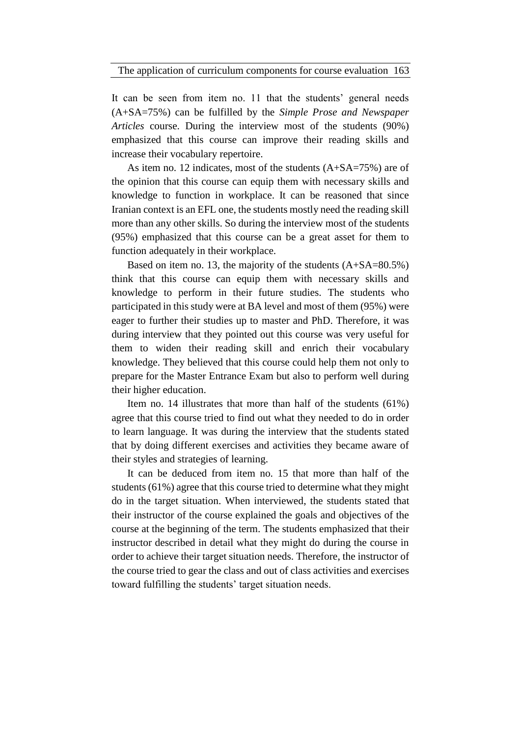It can be seen from item no. 11 that the students' general needs (A+SA=75%) can be fulfilled by the *Simple Prose and Newspaper Articles* course. During the interview most of the students (90%) emphasized that this course can improve their reading skills and increase their vocabulary repertoire.

As item no. 12 indicates, most of the students (A+SA=75%) are of the opinion that this course can equip them with necessary skills and knowledge to function in workplace. It can be reasoned that since Iranian context is an EFL one, the students mostly need the reading skill more than any other skills. So during the interview most of the students (95%) emphasized that this course can be a great asset for them to function adequately in their workplace.

Based on item no. 13, the majority of the students  $(A+SA=80.5\%)$ think that this course can equip them with necessary skills and knowledge to perform in their future studies. The students who participated in this study were at BA level and most of them (95%) were eager to further their studies up to master and PhD. Therefore, it was during interview that they pointed out this course was very useful for them to widen their reading skill and enrich their vocabulary knowledge. They believed that this course could help them not only to prepare for the Master Entrance Exam but also to perform well during their higher education.

Item no. 14 illustrates that more than half of the students (61%) agree that this course tried to find out what they needed to do in order to learn language. It was during the interview that the students stated that by doing different exercises and activities they became aware of their styles and strategies of learning.

It can be deduced from item no. 15 that more than half of the students (61%) agree that this course tried to determine what they might do in the target situation. When interviewed, the students stated that their instructor of the course explained the goals and objectives of the course at the beginning of the term. The students emphasized that their instructor described in detail what they might do during the course in order to achieve their target situation needs. Therefore, the instructor of the course tried to gear the class and out of class activities and exercises toward fulfilling the students' target situation needs.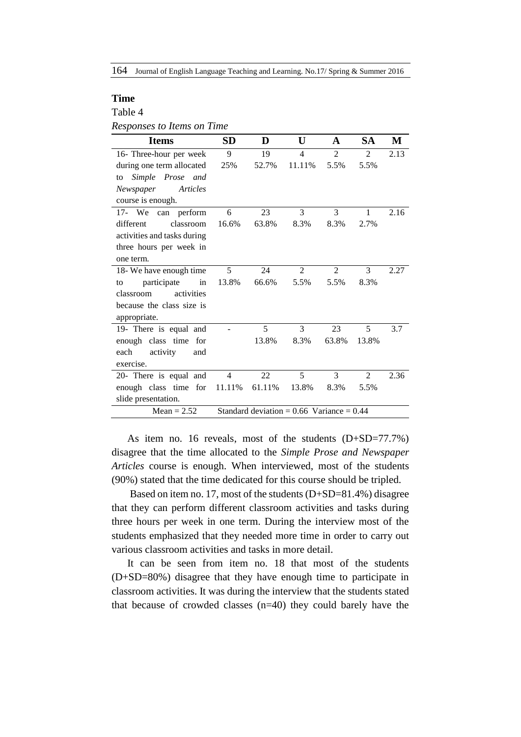164 Journal of English Language Teaching and Learning. No.17/ Spring & Summer 2016

### **Time**

### Table 4

| Responses to Items on Time |  |  |  |  |
|----------------------------|--|--|--|--|
|----------------------------|--|--|--|--|

| <b>Items</b>                | <b>SD</b>      | D                                             | U                        | A              | <b>SA</b>      | M    |
|-----------------------------|----------------|-----------------------------------------------|--------------------------|----------------|----------------|------|
| 16- Three-hour per week     | 9              | 19                                            | $\overline{\mathcal{L}}$ | $\overline{2}$ | $\mathfrak{D}$ | 2.13 |
| during one term allocated   | 25%            | 52.7%                                         | 11.11%                   | 5.5%           | 5.5%           |      |
| Simple Prose and<br>to      |                |                                               |                          |                |                |      |
| Newspaper<br>Articles       |                |                                               |                          |                |                |      |
| course is enough.           |                |                                               |                          |                |                |      |
| 17- We can perform          | 6              | 23                                            | 3                        | 3              | 1              | 2.16 |
| different<br>classroom      | 16.6%          | 63.8%                                         | 8.3%                     | 8.3%           | 2.7%           |      |
| activities and tasks during |                |                                               |                          |                |                |      |
| three hours per week in     |                |                                               |                          |                |                |      |
| one term.                   |                |                                               |                          |                |                |      |
| 18- We have enough time     | 5              | 24                                            | $\overline{2}$           | $\overline{2}$ | 3              | 2.27 |
| participate<br>in<br>to     | 13.8%          | 66.6%                                         | 5.5%                     | 5.5%           | 8.3%           |      |
| activities<br>classroom     |                |                                               |                          |                |                |      |
| because the class size is   |                |                                               |                          |                |                |      |
| appropriate.                |                |                                               |                          |                |                |      |
| 19- There is equal and      |                | 5                                             | 3                        | 23             | 5              | 3.7  |
| enough class time for       |                | 13.8%                                         | 8.3%                     | 63.8%          | 13.8%          |      |
| each<br>activity<br>and     |                |                                               |                          |                |                |      |
| exercise.                   |                |                                               |                          |                |                |      |
| 20- There is equal and      | $\overline{4}$ | 22                                            | 5                        | 3              | $\overline{2}$ | 2.36 |
| enough class time for       | 11.11%         | 61.11%                                        | 13.8%                    | 8.3%           | 5.5%           |      |
| slide presentation.         |                |                                               |                          |                |                |      |
| Mean = $2.52$               |                | Standard deviation = $0.66$ Variance = $0.44$ |                          |                |                |      |

As item no. 16 reveals, most of the students (D+SD=77.7%) disagree that the time allocated to the *Simple Prose and Newspaper Articles* course is enough. When interviewed, most of the students (90%) stated that the time dedicated for this course should be tripled.

Based on item no. 17, most of the students (D+SD=81.4%) disagree that they can perform different classroom activities and tasks during three hours per week in one term. During the interview most of the students emphasized that they needed more time in order to carry out various classroom activities and tasks in more detail.

It can be seen from item no. 18 that most of the students (D+SD=80%) disagree that they have enough time to participate in classroom activities. It was during the interview that the students stated that because of crowded classes (n=40) they could barely have the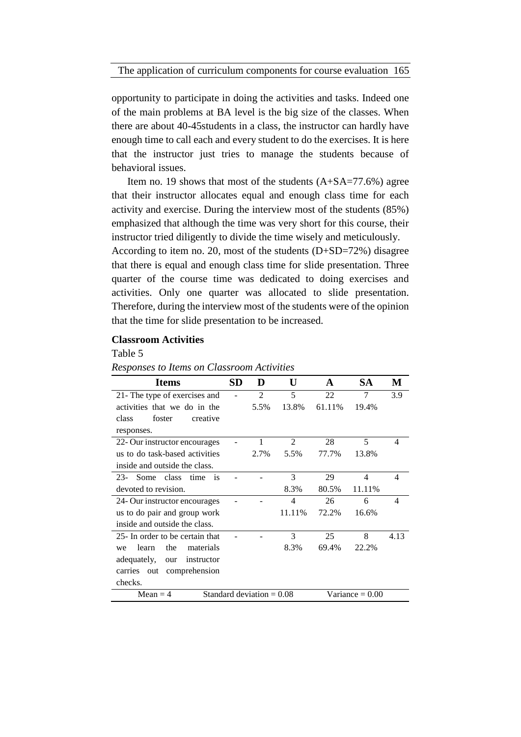The application of curriculum components for course evaluation 165

opportunity to participate in doing the activities and tasks. Indeed one of the main problems at BA level is the big size of the classes. When there are about 40-45students in a class, the instructor can hardly have enough time to call each and every student to do the exercises. It is here that the instructor just tries to manage the students because of behavioral issues.

Item no. 19 shows that most of the students  $(A+SA=77.6%)$  agree that their instructor allocates equal and enough class time for each activity and exercise. During the interview most of the students (85%) emphasized that although the time was very short for this course, their instructor tried diligently to divide the time wisely and meticulously.

According to item no. 20, most of the students (D+SD=72%) disagree that there is equal and enough class time for slide presentation. Three quarter of the course time was dedicated to doing exercises and activities. Only one quarter was allocated to slide presentation. Therefore, during the interview most of the students were of the opinion that the time for slide presentation to be increased.

# **Classroom Activities**

# Table 5

*Responses to Items on Classroom Activities*

| <b>Items</b>                         | SD | D                           | U              | A      | <b>SA</b>         | М    |
|--------------------------------------|----|-----------------------------|----------------|--------|-------------------|------|
| 21- The type of exercises and        |    | $\mathfrak{D}$              | 5              | 22     | 7                 | 3.9  |
| activities that we do in the         |    | 5.5%                        | 13.8%          | 61.11% | 19.4%             |      |
| class<br>foster<br>creative          |    |                             |                |        |                   |      |
| responses.                           |    |                             |                |        |                   |      |
| 22- Our instructor encourages        |    |                             | $\overline{2}$ | 28     | 5                 | 4    |
| us to do task-based activities       |    | 2.7%                        | 5.5%           | 77.7%  | 13.8%             |      |
| inside and outside the class.        |    |                             |                |        |                   |      |
| Some<br>class<br>$23-$<br>time<br>is |    |                             | 3              | 29     | 4                 | 4    |
| devoted to revision.                 |    |                             | 8.3%           | 80.5%  | 11.11%            |      |
| 24- Our instructor encourages        |    |                             | 4              | 26     | 6                 | 4    |
| us to do pair and group work         |    |                             | 11.11%         | 72.2%  | 16.6%             |      |
| inside and outside the class.        |    |                             |                |        |                   |      |
| 25- In order to be certain that      |    |                             | 3              | 25     | 8                 | 4.13 |
| learn<br>the<br>materials<br>we      |    |                             | 8.3%           | 69.4%  | 22.2%             |      |
| adequately,<br>instructor<br>our     |    |                             |                |        |                   |      |
| carries out<br>comprehension         |    |                             |                |        |                   |      |
| checks.                              |    |                             |                |        |                   |      |
| $Mean = 4$                           |    | Standard deviation $= 0.08$ |                |        | Variance $= 0.00$ |      |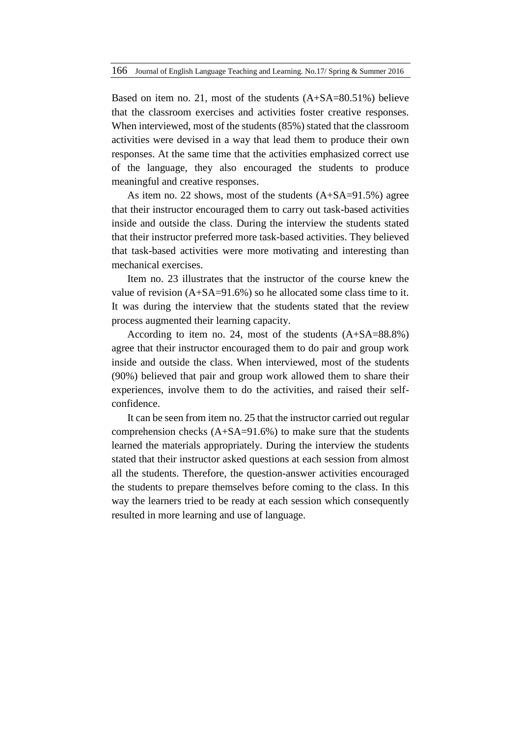Based on item no. 21, most of the students (A+SA=80.51%) believe that the classroom exercises and activities foster creative responses. When interviewed, most of the students (85%) stated that the classroom activities were devised in a way that lead them to produce their own responses. At the same time that the activities emphasized correct use of the language, they also encouraged the students to produce meaningful and creative responses.

As item no. 22 shows, most of the students (A+SA=91.5%) agree that their instructor encouraged them to carry out task-based activities inside and outside the class. During the interview the students stated that their instructor preferred more task-based activities. They believed that task-based activities were more motivating and interesting than mechanical exercises.

Item no. 23 illustrates that the instructor of the course knew the value of revision (A+SA=91.6%) so he allocated some class time to it. It was during the interview that the students stated that the review process augmented their learning capacity.

According to item no. 24, most of the students (A+SA=88.8%) agree that their instructor encouraged them to do pair and group work inside and outside the class. When interviewed, most of the students (90%) believed that pair and group work allowed them to share their experiences, involve them to do the activities, and raised their selfconfidence.

It can be seen from item no. 25 that the instructor carried out regular comprehension checks  $(A+SA=91.6%)$  to make sure that the students learned the materials appropriately. During the interview the students stated that their instructor asked questions at each session from almost all the students. Therefore, the question-answer activities encouraged the students to prepare themselves before coming to the class. In this way the learners tried to be ready at each session which consequently resulted in more learning and use of language.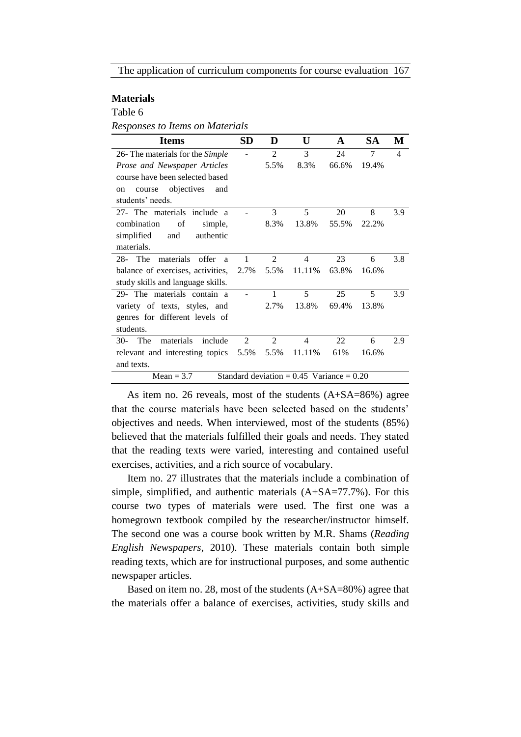# **Materials**

Table 6

*Responses to Items on Materials*

| <b>Items</b>                                                  | <b>SD</b>      | D              | U              | A     | <b>SA</b> | М   |
|---------------------------------------------------------------|----------------|----------------|----------------|-------|-----------|-----|
| 26- The materials for the Simple                              |                | 2              | 3              | 24    | 7         | 4   |
| Prose and Newspaper Articles                                  |                | 5.5%           | 8.3%           | 66.6% | 19.4%     |     |
| course have been selected based                               |                |                |                |       |           |     |
| objectives<br>and<br>course<br>on                             |                |                |                |       |           |     |
| students' needs.                                              |                |                |                |       |           |     |
| 27- The materials include a                                   |                | 3              | 5              | 20    | 8         | 3.9 |
| combination<br>of<br>simple,                                  |                | 8.3%           | 13.8%          | 55.5% | 22.2%     |     |
| simplified<br>and<br>authentic                                |                |                |                |       |           |     |
| materials.                                                    |                |                |                |       |           |     |
| $28$ - The<br>materials<br>offer<br>a                         | 1              | 2              | 4              | 23    | 6         | 3.8 |
| balance of exercises, activities,                             | 2.7%           | 5.5%           | 11.11%         | 63.8% | 16.6%     |     |
| study skills and language skills.                             |                |                |                |       |           |     |
| 29- The materials contain a                                   |                | 1              | 5              | 25    | 5         | 3.9 |
| variety of texts, styles, and                                 |                | 2.7%           | 13.8%          | 69.4% | 13.8%     |     |
| genres for different levels of                                |                |                |                |       |           |     |
| students.                                                     |                |                |                |       |           |     |
| materials<br>The<br>include<br>$30-$                          | $\mathfrak{D}$ | $\mathfrak{D}$ | $\overline{4}$ | 22    | 6         | 2.9 |
| relevant and interesting topics 5.5%                          |                | 5.5%           | 11.11%         | 61%   | 16.6%     |     |
| and texts.                                                    |                |                |                |       |           |     |
| Standard deviation = $0.45$ Variance = $0.20$<br>$Mean = 3.7$ |                |                |                |       |           |     |

As item no. 26 reveals, most of the students (A+SA=86%) agree that the course materials have been selected based on the students' objectives and needs. When interviewed, most of the students (85%) believed that the materials fulfilled their goals and needs. They stated that the reading texts were varied, interesting and contained useful exercises, activities, and a rich source of vocabulary.

Item no. 27 illustrates that the materials include a combination of simple, simplified, and authentic materials (A+SA=77.7%). For this course two types of materials were used. The first one was a homegrown textbook compiled by the researcher/instructor himself. The second one was a course book written by M.R. Shams (*Reading English Newspapers*, 2010). These materials contain both simple reading texts, which are for instructional purposes, and some authentic newspaper articles.

Based on item no. 28, most of the students (A+SA=80%) agree that the materials offer a balance of exercises, activities, study skills and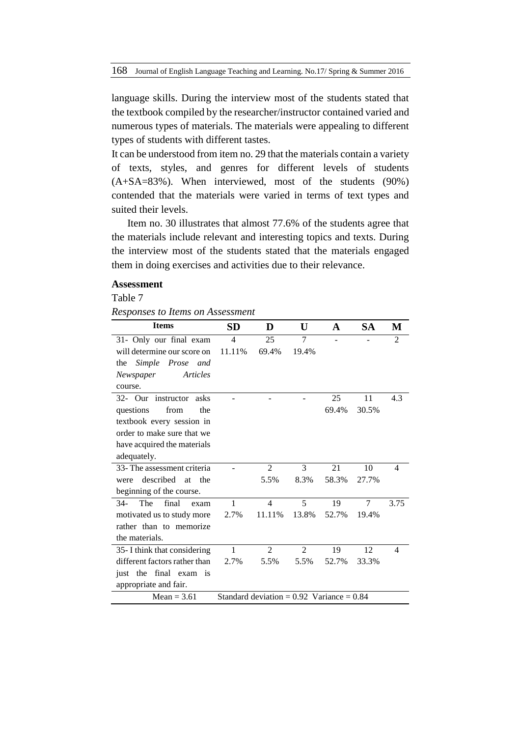language skills. During the interview most of the students stated that the textbook compiled by the researcher/instructor contained varied and numerous types of materials. The materials were appealing to different types of students with different tastes.

It can be understood from item no. 29 that the materials contain a variety of texts, styles, and genres for different levels of students (A+SA=83%). When interviewed, most of the students (90%) contended that the materials were varied in terms of text types and suited their levels.

Item no. 30 illustrates that almost 77.6% of the students agree that the materials include relevant and interesting topics and texts. During the interview most of the students stated that the materials engaged them in doing exercises and activities due to their relevance.

# **Assessment**

### Table 7

*Responses to Items on Assessment*

| <b>Items</b>                   | <b>SD</b>    | D                                             | U              | A     | SА    | M                        |
|--------------------------------|--------------|-----------------------------------------------|----------------|-------|-------|--------------------------|
| 31- Only our final exam        | 4            | 25                                            | $\overline{7}$ |       |       | $\overline{2}$           |
| will determine our score on    | 11.11%       | 69.4%                                         | 19.4%          |       |       |                          |
| Simple Prose and<br>the        |              |                                               |                |       |       |                          |
| Articles<br>Newspaper          |              |                                               |                |       |       |                          |
| course.                        |              |                                               |                |       |       |                          |
| 32- Our instructor<br>asks     |              |                                               |                | 25    | 11    | 4.3                      |
| questions<br>from<br>the       |              |                                               |                | 69.4% | 30.5% |                          |
| textbook every session in      |              |                                               |                |       |       |                          |
| order to make sure that we     |              |                                               |                |       |       |                          |
| have acquired the materials    |              |                                               |                |       |       |                          |
| adequately.                    |              |                                               |                |       |       |                          |
| 33- The assessment criteria    |              | $\overline{2}$                                | 3              | 21    | 10    | 4                        |
| described<br>the<br>at<br>were |              | 5.5%                                          | 8.3%           | 58.3% | 27.7% |                          |
| beginning of the course.       |              |                                               |                |       |       |                          |
| The<br>final<br>$34-$<br>exam  | 1            | $\overline{4}$                                | 5              | 19    | 7     | 3.75                     |
| motivated us to study more     | 2.7%         | 11.11%                                        | 13.8%          | 52.7% | 19.4% |                          |
| rather than to memorize        |              |                                               |                |       |       |                          |
| the materials.                 |              |                                               |                |       |       |                          |
| 35- I think that considering   | $\mathbf{1}$ | $\overline{2}$                                | $\overline{2}$ | 19    | 12    | $\overline{\mathcal{A}}$ |
| different factors rather than  | 2.7%         | 5.5%                                          | 5.5%           | 52.7% | 33.3% |                          |
| just the final exam is         |              |                                               |                |       |       |                          |
| appropriate and fair.          |              |                                               |                |       |       |                          |
| $Mean = 3.61$                  |              | Standard deviation = $0.92$ Variance = $0.84$ |                |       |       |                          |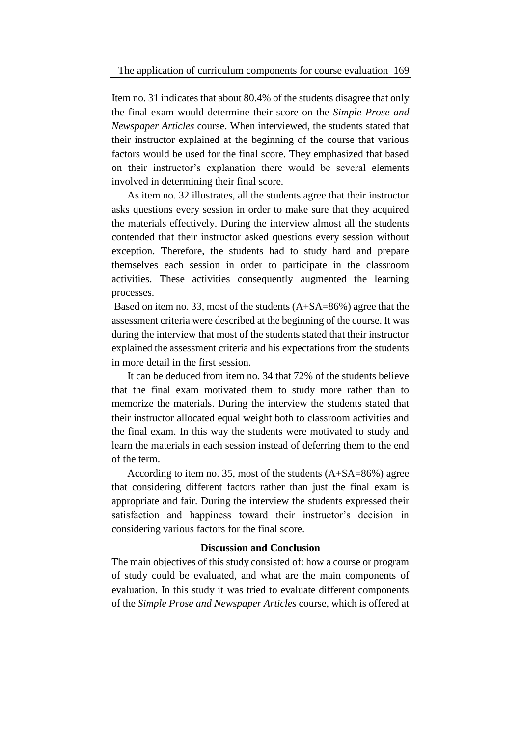Item no. 31 indicates that about 80.4% of the students disagree that only the final exam would determine their score on the *Simple Prose and Newspaper Articles* course. When interviewed, the students stated that their instructor explained at the beginning of the course that various factors would be used for the final score. They emphasized that based on their instructor's explanation there would be several elements involved in determining their final score.

As item no. 32 illustrates, all the students agree that their instructor asks questions every session in order to make sure that they acquired the materials effectively. During the interview almost all the students contended that their instructor asked questions every session without exception. Therefore, the students had to study hard and prepare themselves each session in order to participate in the classroom activities. These activities consequently augmented the learning processes.

Based on item no. 33, most of the students (A+SA=86%) agree that the assessment criteria were described at the beginning of the course. It was during the interview that most of the students stated that their instructor explained the assessment criteria and his expectations from the students in more detail in the first session.

It can be deduced from item no. 34 that 72% of the students believe that the final exam motivated them to study more rather than to memorize the materials. During the interview the students stated that their instructor allocated equal weight both to classroom activities and the final exam. In this way the students were motivated to study and learn the materials in each session instead of deferring them to the end of the term.

According to item no. 35, most of the students (A+SA=86%) agree that considering different factors rather than just the final exam is appropriate and fair. During the interview the students expressed their satisfaction and happiness toward their instructor's decision in considering various factors for the final score.

#### **Discussion and Conclusion**

The main objectives of this study consisted of: how a course or program of study could be evaluated, and what are the main components of evaluation. In this study it was tried to evaluate different components of the *Simple Prose and Newspaper Articles* course, which is offered at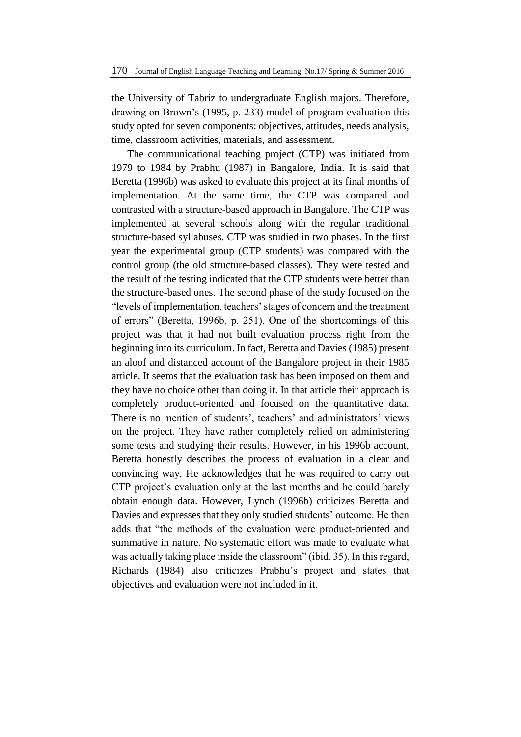the University of Tabriz to undergraduate English majors. Therefore, drawing on Brown's (1995, p. 233) model of program evaluation this study opted for seven components: objectives, attitudes, needs analysis, time, classroom activities, materials, and assessment.

The communicational teaching project (CTP) was initiated from 1979 to 1984 by Prabhu (1987) in Bangalore, India. It is said that Beretta (1996b) was asked to evaluate this project at its final months of implementation. At the same time, the CTP was compared and contrasted with a structure-based approach in Bangalore. The CTP was implemented at several schools along with the regular traditional structure-based syllabuses. CTP was studied in two phases. In the first year the experimental group (CTP students) was compared with the control group (the old structure-based classes). They were tested and the result of the testing indicated that the CTP students were better than the structure-based ones. The second phase of the study focused on the "levels of implementation, teachers' stages of concern and the treatment of errors" (Beretta, 1996b, p. 251). One of the shortcomings of this project was that it had not built evaluation process right from the beginning into its curriculum. In fact, Beretta and Davies (1985) present an aloof and distanced account of the Bangalore project in their 1985 article. It seems that the evaluation task has been imposed on them and they have no choice other than doing it. In that article their approach is completely product-oriented and focused on the quantitative data. There is no mention of students', teachers' and administrators' views on the project. They have rather completely relied on administering some tests and studying their results. However, in his 1996b account, Beretta honestly describes the process of evaluation in a clear and convincing way. He acknowledges that he was required to carry out CTP project's evaluation only at the last months and he could barely obtain enough data. However, Lynch (1996b) criticizes Beretta and Davies and expresses that they only studied students' outcome. He then adds that "the methods of the evaluation were product-oriented and summative in nature. No systematic effort was made to evaluate what was actually taking place inside the classroom" (ibid. 35). In this regard, Richards (1984) also criticizes Prabhu's project and states that objectives and evaluation were not included in it.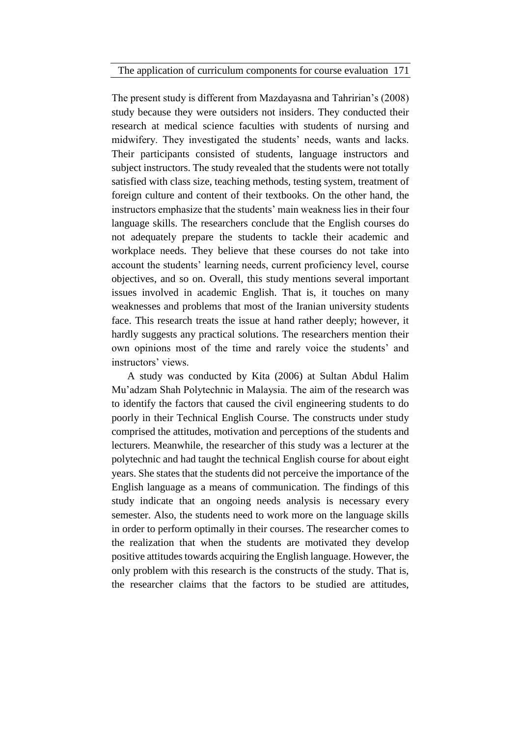The application of curriculum components for course evaluation 171

The present study is different from Mazdayasna and Tahririan's (2008) study because they were outsiders not insiders. They conducted their research at medical science faculties with students of nursing and midwifery. They investigated the students' needs, wants and lacks. Their participants consisted of students, language instructors and subject instructors. The study revealed that the students were not totally satisfied with class size, teaching methods, testing system, treatment of foreign culture and content of their textbooks. On the other hand, the instructors emphasize that the students' main weakness lies in their four language skills. The researchers conclude that the English courses do not adequately prepare the students to tackle their academic and workplace needs. They believe that these courses do not take into account the students' learning needs, current proficiency level, course objectives, and so on. Overall, this study mentions several important issues involved in academic English. That is, it touches on many weaknesses and problems that most of the Iranian university students face. This research treats the issue at hand rather deeply; however, it hardly suggests any practical solutions. The researchers mention their own opinions most of the time and rarely voice the students' and instructors' views.

A study was conducted by Kita (2006) at Sultan Abdul Halim Mu'adzam Shah Polytechnic in Malaysia. The aim of the research was to identify the factors that caused the civil engineering students to do poorly in their Technical English Course. The constructs under study comprised the attitudes, motivation and perceptions of the students and lecturers. Meanwhile, the researcher of this study was a lecturer at the polytechnic and had taught the technical English course for about eight years. She states that the students did not perceive the importance of the English language as a means of communication. The findings of this study indicate that an ongoing needs analysis is necessary every semester. Also, the students need to work more on the language skills in order to perform optimally in their courses. The researcher comes to the realization that when the students are motivated they develop positive attitudes towards acquiring the English language. However, the only problem with this research is the constructs of the study. That is, the researcher claims that the factors to be studied are attitudes,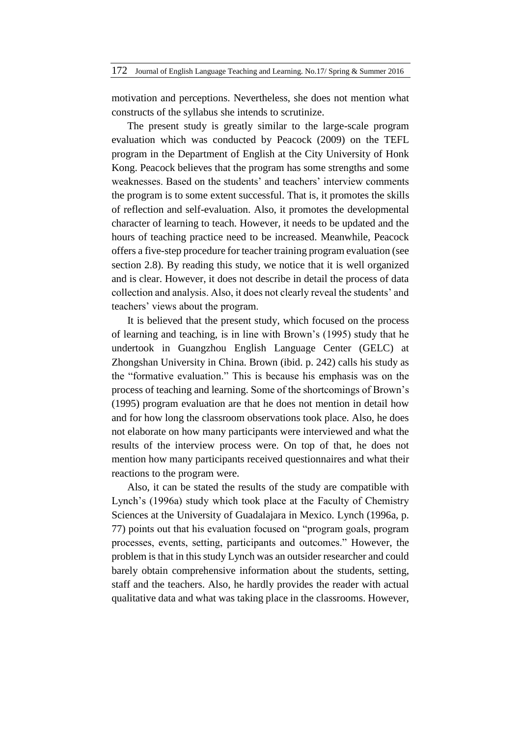motivation and perceptions. Nevertheless, she does not mention what constructs of the syllabus she intends to scrutinize.

The present study is greatly similar to the large-scale program evaluation which was conducted by Peacock (2009) on the TEFL program in the Department of English at the City University of Honk Kong. Peacock believes that the program has some strengths and some weaknesses. Based on the students' and teachers' interview comments the program is to some extent successful. That is, it promotes the skills of reflection and self-evaluation. Also, it promotes the developmental character of learning to teach. However, it needs to be updated and the hours of teaching practice need to be increased. Meanwhile, Peacock offers a five-step procedure for teacher training program evaluation (see section 2.8). By reading this study, we notice that it is well organized and is clear. However, it does not describe in detail the process of data collection and analysis. Also, it does not clearly reveal the students' and teachers' views about the program.

It is believed that the present study, which focused on the process of learning and teaching, is in line with Brown's (1995) study that he undertook in Guangzhou English Language Center (GELC) at Zhongshan University in China. Brown (ibid. p. 242) calls his study as the "formative evaluation." This is because his emphasis was on the process of teaching and learning. Some of the shortcomings of Brown's (1995) program evaluation are that he does not mention in detail how and for how long the classroom observations took place. Also, he does not elaborate on how many participants were interviewed and what the results of the interview process were. On top of that, he does not mention how many participants received questionnaires and what their reactions to the program were.

Also, it can be stated the results of the study are compatible with Lynch's (1996a) study which took place at the Faculty of Chemistry Sciences at the University of Guadalajara in Mexico. Lynch (1996a, p. 77) points out that his evaluation focused on "program goals, program processes, events, setting, participants and outcomes." However, the problem is that in this study Lynch was an outsider researcher and could barely obtain comprehensive information about the students, setting, staff and the teachers. Also, he hardly provides the reader with actual qualitative data and what was taking place in the classrooms. However,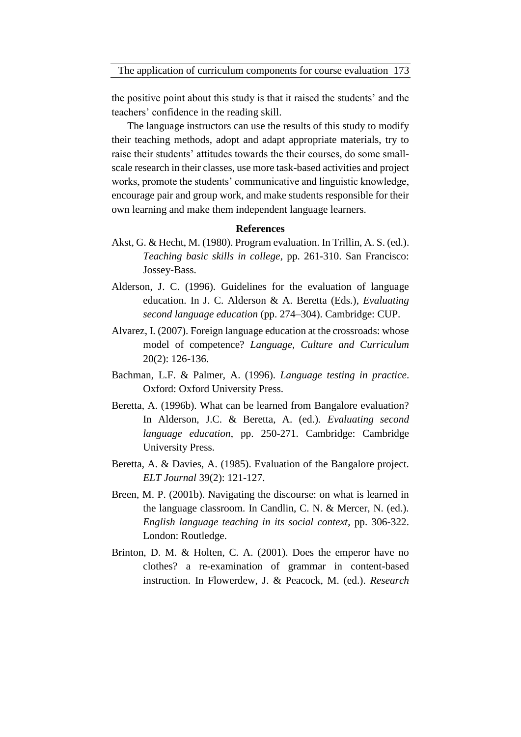the positive point about this study is that it raised the students' and the teachers' confidence in the reading skill.

The language instructors can use the results of this study to modify their teaching methods, adopt and adapt appropriate materials, try to raise their students' attitudes towards the their courses, do some smallscale research in their classes, use more task-based activities and project works, promote the students' communicative and linguistic knowledge, encourage pair and group work, and make students responsible for their own learning and make them independent language learners.

### **References**

- Akst, G. & Hecht, M. (1980). Program evaluation. In Trillin, A. S. (ed.). *Teaching basic skills in college*, pp. 261-310. San Francisco: Jossey-Bass.
- Alderson, J. C. (1996). Guidelines for the evaluation of language education. In J. C. Alderson & A. Beretta (Eds.), *Evaluating second language education* (pp. 274–304). Cambridge: CUP.
- Alvarez, I. (2007). Foreign language education at the crossroads: whose model of competence? *Language, Culture and Curriculum*  20(2): 126-136.
- Bachman, L.F. & Palmer, A. (1996). *Language testing in practice*. Oxford: Oxford University Press.
- Beretta, A. (1996b). What can be learned from Bangalore evaluation? In Alderson, J.C. & Beretta, A. (ed.). *Evaluating second language education*, pp. 250-271. Cambridge: Cambridge University Press.
- Beretta, A. & Davies, A. (1985). Evaluation of the Bangalore project. *ELT Journal* 39(2): 121-127.
- Breen, M. P. (2001b). Navigating the discourse: on what is learned in the language classroom. In Candlin, C. N. & Mercer, N. (ed.). *English language teaching in its social context*, pp. 306-322. London: Routledge.
- Brinton, D. M. & Holten, C. A. (2001). Does the emperor have no clothes? a re-examination of grammar in content-based instruction. In Flowerdew, J. & Peacock, M. (ed.). *Research*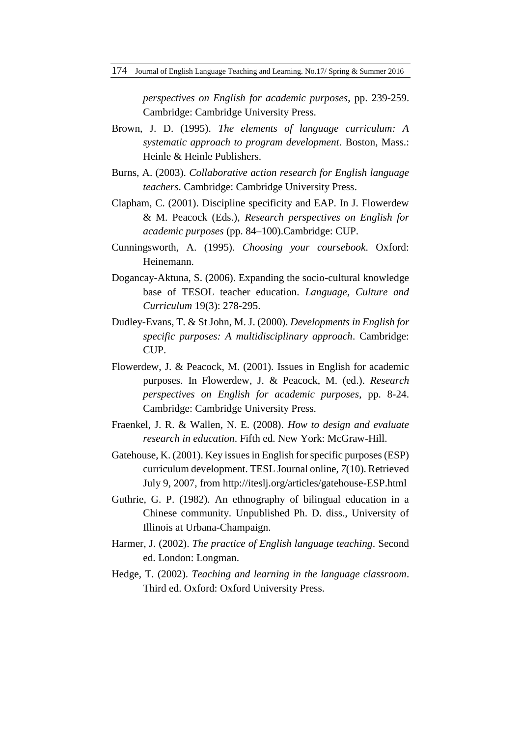*perspectives on English for academic purposes*, pp. 239-259. Cambridge: Cambridge University Press.

- Brown, J. D. (1995). *The elements of language curriculum: A systematic approach to program development*. Boston, Mass.: Heinle & Heinle Publishers.
- Burns, A. (2003). *Collaborative action research for English language teachers*. Cambridge: Cambridge University Press.
- Clapham, C. (2001). Discipline specificity and EAP. In J. Flowerdew & M. Peacock (Eds.), *Research perspectives on English for academic purposes* (pp. 84–100).Cambridge: CUP.
- Cunningsworth, A. (1995). *Choosing your coursebook*. Oxford: Heinemann.
- Dogancay-Aktuna, S. (2006). Expanding the socio-cultural knowledge base of TESOL teacher education. *Language, Culture and Curriculum* 19(3): 278-295.
- Dudley-Evans, T. & St John, M. J. (2000). *Developments in English for specific purposes: A multidisciplinary approach*. Cambridge: CUP.
- Flowerdew, J. & Peacock, M. (2001). Issues in English for academic purposes. In Flowerdew, J. & Peacock, M. (ed.). *Research perspectives on English for academic purposes*, pp. 8-24. Cambridge: Cambridge University Press.
- Fraenkel, J. R. & Wallen, N. E. (2008). *How to design and evaluate research in education*. Fifth ed. New York: McGraw-Hill.
- Gatehouse, K. (2001). Key issues in English for specific purposes (ESP) curriculum development. TESL Journal online, *7*(10). Retrieved July 9, 2007, from http://iteslj.org/articles/gatehouse-ESP.html
- Guthrie, G. P. (1982). An ethnography of bilingual education in a Chinese community. Unpublished Ph. D. diss., University of Illinois at Urbana-Champaign.
- Harmer, J. (2002). *The practice of English language teaching*. Second ed. London: Longman.
- Hedge, T. (2002). *Teaching and learning in the language classroom*. Third ed. Oxford: Oxford University Press.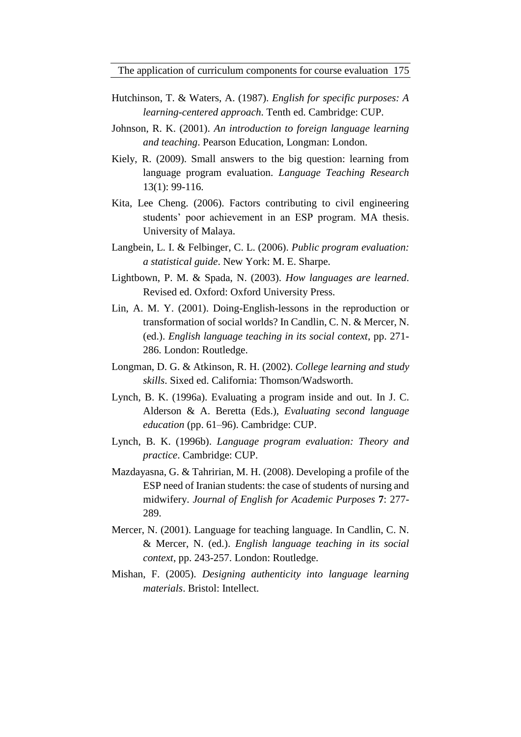The application of curriculum components for course evaluation 175

- Hutchinson, T. & Waters, A. (1987). *English for specific purposes: A learning-centered approach*. Tenth ed. Cambridge: CUP.
- Johnson, R. K. (2001). *An introduction to foreign language learning and teaching*. Pearson Education, Longman: London.
- Kiely, R. (2009). Small answers to the big question: learning from language program evaluation. *Language Teaching Research* 13(1): 99-116.
- Kita, Lee Cheng. (2006). Factors contributing to civil engineering students' poor achievement in an ESP program. MA thesis. University of Malaya.
- Langbein, L. I. & Felbinger, C. L. (2006). *Public program evaluation: a statistical guide*. New York: M. E. Sharpe.
- Lightbown, P. M. & Spada, N. (2003). *How languages are learned*. Revised ed. Oxford: Oxford University Press.
- Lin, A. M. Y. (2001). Doing-English-lessons in the reproduction or transformation of social worlds? In Candlin, C. N. & Mercer, N. (ed.). *English language teaching in its social context*, pp. 271- 286. London: Routledge.
- Longman, D. G. & Atkinson, R. H. (2002). *College learning and study skills*. Sixed ed. California: Thomson/Wadsworth.
- Lynch, B. K. (1996a). Evaluating a program inside and out. In J. C. Alderson & A. Beretta (Eds.), *Evaluating second language education* (pp. 61–96). Cambridge: CUP.
- Lynch, B. K. (1996b). *Language program evaluation: Theory and practice*. Cambridge: CUP.
- Mazdayasna, G. & Tahririan, M. H. (2008). Developing a profile of the ESP need of Iranian students: the case of students of nursing and midwifery. *Journal of English for Academic Purposes* **7**: 277- 289.
- Mercer, N. (2001). Language for teaching language. In Candlin, C. N. & Mercer, N. (ed.). *English language teaching in its social context*, pp. 243-257. London: Routledge.
- Mishan, F. (2005). *Designing authenticity into language learning materials*. Bristol: Intellect.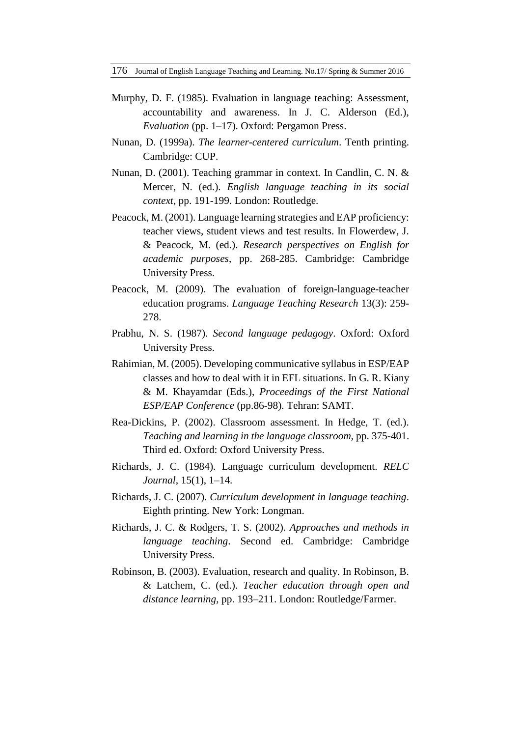176 Journal of English Language Teaching and Learning. No.17/ Spring & Summer 2016

- Murphy, D. F. (1985). Evaluation in language teaching: Assessment, accountability and awareness. In J. C. Alderson (Ed.), *Evaluation* (pp. 1–17). Oxford: Pergamon Press.
- Nunan, D. (1999a). *The learner-centered curriculum*. Tenth printing. Cambridge: CUP.
- Nunan, D. (2001). Teaching grammar in context. In Candlin, C. N. & Mercer, N. (ed.). *English language teaching in its social context*, pp. 191-199. London: Routledge.
- Peacock, M. (2001). Language learning strategies and EAP proficiency: teacher views, student views and test results. In Flowerdew, J. & Peacock, M. (ed.). *Research perspectives on English for academic purposes*, pp. 268-285. Cambridge: Cambridge University Press.
- Peacock, M. (2009). The evaluation of foreign-language-teacher education programs. *Language Teaching Research* 13(3): 259- 278.
- Prabhu, N. S. (1987). *Second language pedagogy*. Oxford: Oxford University Press.
- Rahimian, M. (2005). Developing communicative syllabus in ESP/EAP classes and how to deal with it in EFL situations. In G. R. Kiany & M. Khayamdar (Eds.), *Proceedings of the First National ESP/EAP Conference* (pp.86-98). Tehran: SAMT.
- Rea-Dickins, P. (2002). Classroom assessment. In Hedge, T. (ed.). *Teaching and learning in the language classroom*, pp. 375-401. Third ed. Oxford: Oxford University Press.
- Richards, J. C. (1984). Language curriculum development. *RELC Journal*, 15(1), 1–14.
- Richards, J. C. (2007). *Curriculum development in language teaching*. Eighth printing. New York: Longman.
- Richards, J. C. & Rodgers, T. S. (2002). *Approaches and methods in language teaching*. Second ed. Cambridge: Cambridge University Press.
- Robinson, B. (2003). Evaluation, research and quality. In Robinson, B. & Latchem, C. (ed.). *Teacher education through open and distance learning*, pp. 193–211. London: Routledge/Farmer.